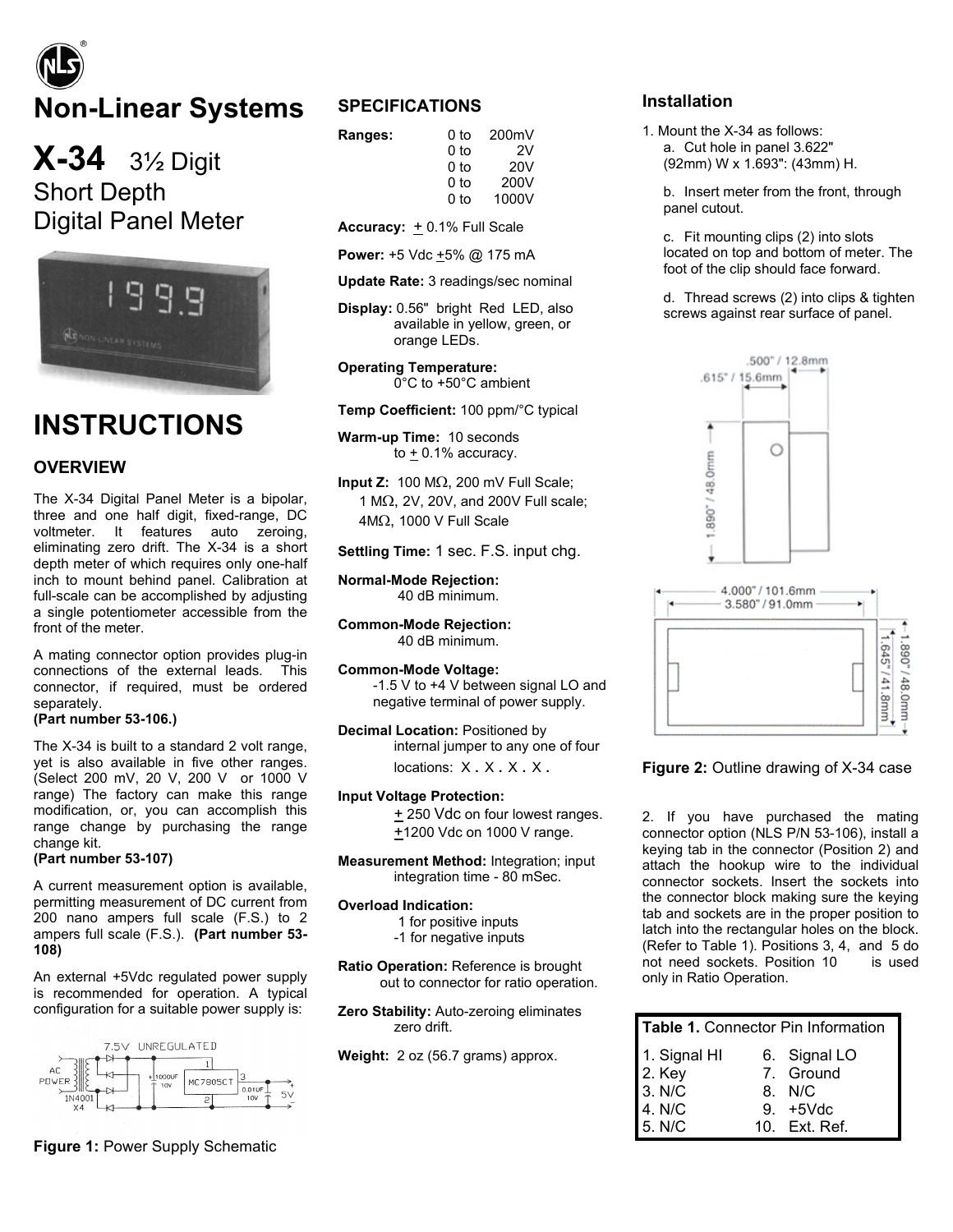# **Non-Linear Systems**

**X-34** 3½ Digit Short Depth Digital Panel Meter



# **INSTRUCTIONS**

#### **OVERVIEW**

The X-34 Digital Panel Meter is a bipolar, three and one half digit, fixed-range, DC voltmeter. It features auto zeroing, eliminating zero drift. The X-34 is a short depth meter of which requires only one-half inch to mount behind panel. Calibration at full-scale can be accomplished by adjusting a single potentiometer accessible from the front of the meter.

A mating connector option provides plug-in connections of the external leads. This connector, if required, must be ordered separately.

#### **(Part number 53-106.)**

The X-34 is built to a standard 2 volt range, yet is also available in five other ranges. (Select 200 mV, 20 V, 200 V or 1000 V range) The factory can make this range modification, or, you can accomplish this range change by purchasing the range change kit.

#### **(Part number 53-107)**

A current measurement option is available, permitting measurement of DC current from 200 nano ampers full scale (F.S.) to 2 ampers full scale (F.S.). **(Part number 53- 108)**

An external +5Vdc regulated power supply is recommended for operation. A typical configuration for a suitable power supply is:



### **SPECIFICATIONS**

| Ranges: | 0 to | 200mV           |
|---------|------|-----------------|
|         | 0 to | 2V              |
|         | 0 to | 20 <sub>V</sub> |
|         | 0 to | 200V            |
|         | 0 to | 1000V           |

Accuracy:  $+$  0.1% Full Scale

**Power:** +5 Vdc  $\pm$ 5% @ 175 mA

**Update Rate:** 3 readings/sec nominal

**Display:** 0.56" bright Red LED, also available in yellow, green, or orange LEDs.

**Operating Temperature:** 0°C to +50°C ambient

**Temp Coefficient:** 100 ppm/°C typical

**Warm-up Time:** 10 seconds to  $\pm$  0.1% accuracy.

**Input Z:** 100 MΩ, 200 mV Full Scale; 1 MΩ, 2V, 20V, and 200V Full scale; 4MΩ, 1000 V Full Scale

**Settling Time:** 1 sec. F.S. input chg.

**Normal-Mode Rejection:** 40 dB minimum.

**Common-Mode Rejection:** 40 dB minimum.

**Common-Mode Voltage:**  -1.5 V to +4 V between signal LO and negative terminal of power supply.

**Decimal Location:** Positioned by internal jumper to any one of four locations: X . X . X . X .

**Input Voltage Protection:**

 $±$  250 Vdc on four lowest ranges. +1200 Vdc on 1000 V range.

**Measurement Method:** Integration; input integration time - 80 mSec.

**Overload Indication:**

1 for positive inputs

-1 for negative inputs

**Ratio Operation:** Reference is brought out to connector for ratio operation.

**Zero Stability:** Auto-zeroing eliminates zero drift.

**Weight:** 2 oz (56.7 grams) approx.

#### **Installation**

1. Mount the X-34 as follows: a. Cut hole in panel 3.622" (92mm) W x 1.693": (43mm) H.

b. Insert meter from the front, through panel cutout.

c. Fit mounting clips (2) into slots located on top and bottom of meter. The foot of the clip should face forward.

d. Thread screws (2) into clips & tighten screws against rear surface of panel.





**Figure 2:** Outline drawing of X-34 case

2. If you have purchased the mating connector option (NLS P/N 53-106), install a keying tab in the connector (Position 2) and attach the hookup wire to the individual connector sockets. Insert the sockets into the connector block making sure the keying tab and sockets are in the proper position to latch into the rectangular holes on the block. (Refer to Table 1). Positions 3, 4, and 5 do not need sockets. Position 10 is used only in Ratio Operation.

| Table 1. Connector Pin Information |  |               |  |
|------------------------------------|--|---------------|--|
| 1. Signal HI                       |  | 6. Signal LO  |  |
|                                    |  | 7. Ground     |  |
| 2. Key<br>3. N/C                   |  | 8. N/C        |  |
|                                    |  | 9. +5Vdc      |  |
| 4. N/C<br>5. N/C                   |  | 10. Ext. Ref. |  |

**Figure 1:** Power Supply Schematic